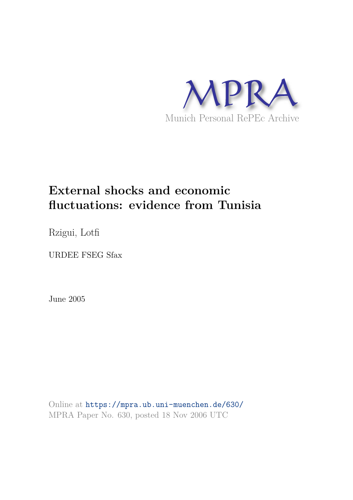

# **External shocks and economic fluctuations: evidence from Tunisia**

Rzigui, Lotfi

URDEE FSEG Sfax

June 2005

Online at https://mpra.ub.uni-muenchen.de/630/ MPRA Paper No. 630, posted 18 Nov 2006 UTC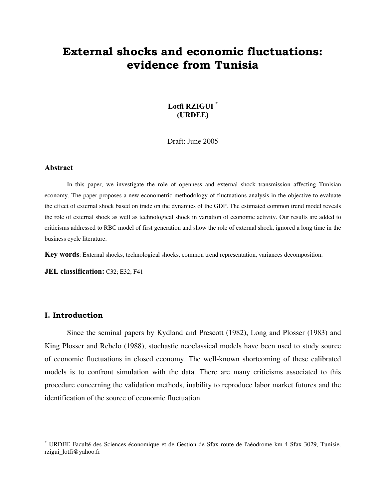# **External shocks and economic fluctuations: evidence from Tunisia**

### **Lotfi RZIGUI \* (URDEE)**

Draft: June 2005

#### **Abstract**

In this paper, we investigate the role of openness and external shock transmission affecting Tunisian economy. The paper proposes a new econometric methodology of fluctuations analysis in the objective to evaluate the effect of external shock based on trade on the dynamics of the GDP. The estimated common trend model reveals the role of external shock as well as technological shock in variation of economic activity. Our results are added to criticisms addressed to RBC model of first generation and show the role of external shock, ignored a long time in the business cycle literature.

**Key words**: External shocks, technological shocks, common trend representation, variances decomposition.

**JEL classification:** C32; E32; F41

#### **I. Introduction**

 $\overline{a}$ 

Since the seminal papers by Kydland and Prescott (1982), Long and Plosser (1983) and King Plosser and Rebelo (1988), stochastic neoclassical models have been used to study source of economic fluctuations in closed economy. The well-known shortcoming of these calibrated models is to confront simulation with the data. There are many criticisms associated to this procedure concerning the validation methods, inability to reproduce labor market futures and the identification of the source of economic fluctuation.

<sup>\*</sup> URDEE Faculté des Sciences économique et de Gestion de Sfax route de l'aéodrome km 4 Sfax 3029, Tunisie. rzigui\_lotfi@yahoo.fr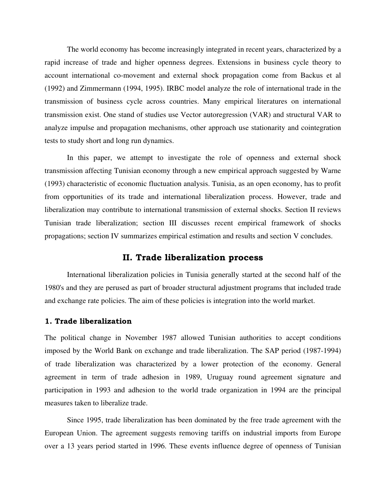The world economy has become increasingly integrated in recent years, characterized by a rapid increase of trade and higher openness degrees. Extensions in business cycle theory to account international co-movement and external shock propagation come from Backus et al (1992) and Zimmermann (1994, 1995). IRBC model analyze the role of international trade in the transmission of business cycle across countries. Many empirical literatures on international transmission exist. One stand of studies use Vector autoregression (VAR) and structural VAR to analyze impulse and propagation mechanisms, other approach use stationarity and cointegration tests to study short and long run dynamics.

In this paper, we attempt to investigate the role of openness and external shock transmission affecting Tunisian economy through a new empirical approach suggested by Warne (1993) characteristic of economic fluctuation analysis. Tunisia, as an open economy, has to profit from opportunities of its trade and international liberalization process. However, trade and liberalization may contribute to international transmission of external shocks. Section II reviews Tunisian trade liberalization; section III discusses recent empirical framework of shocks propagations; section IV summarizes empirical estimation and results and section V concludes.

## **II. Trade liberalization process**

International liberalization policies in Tunisia generally started at the second half of the 1980's and they are perused as part of broader structural adjustment programs that included trade and exchange rate policies. The aim of these policies is integration into the world market.

#### **1. Trade liberalization**

The political change in November 1987 allowed Tunisian authorities to accept conditions imposed by the World Bank on exchange and trade liberalization. The SAP period (1987-1994) of trade liberalization was characterized by a lower protection of the economy. General agreement in term of trade adhesion in 1989, Uruguay round agreement signature and participation in 1993 and adhesion to the world trade organization in 1994 are the principal measures taken to liberalize trade.

Since 1995, trade liberalization has been dominated by the free trade agreement with the European Union. The agreement suggests removing tariffs on industrial imports from Europe over a 13 years period started in 1996. These events influence degree of openness of Tunisian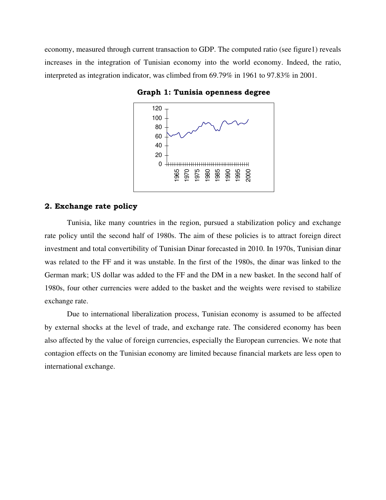economy, measured through current transaction to GDP. The computed ratio (see figure1) reveals increases in the integration of Tunisian economy into the world economy. Indeed, the ratio, interpreted as integration indicator, was climbed from 69.79% in 1961 to 97.83% in 2001.



 **Graph 1: Tunisia openness degree** 

#### **2. Exchange rate policy**

Tunisia, like many countries in the region, pursued a stabilization policy and exchange rate policy until the second half of 1980s. The aim of these policies is to attract foreign direct investment and total convertibility of Tunisian Dinar forecasted in 2010. In 1970s, Tunisian dinar was related to the FF and it was unstable. In the first of the 1980s, the dinar was linked to the German mark; US dollar was added to the FF and the DM in a new basket. In the second half of 1980s, four other currencies were added to the basket and the weights were revised to stabilize exchange rate.

Due to international liberalization process, Tunisian economy is assumed to be affected by external shocks at the level of trade, and exchange rate. The considered economy has been also affected by the value of foreign currencies, especially the European currencies. We note that contagion effects on the Tunisian economy are limited because financial markets are less open to international exchange.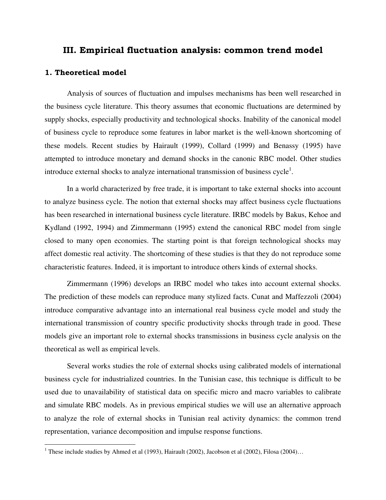# **III. Empirical fluctuation analysis: common trend model**

#### **1. Theoretical model**

 Analysis of sources of fluctuation and impulses mechanisms has been well researched in the business cycle literature. This theory assumes that economic fluctuations are determined by supply shocks, especially productivity and technological shocks. Inability of the canonical model of business cycle to reproduce some features in labor market is the well-known shortcoming of these models. Recent studies by Hairault (1999), Collard (1999) and Benassy (1995) have attempted to introduce monetary and demand shocks in the canonic RBC model. Other studies introduce external shocks to analyze international transmission of business cycle<sup>1</sup>.

 In a world characterized by free trade, it is important to take external shocks into account to analyze business cycle. The notion that external shocks may affect business cycle fluctuations has been researched in international business cycle literature. IRBC models by Bakus, Kehoe and Kydland (1992, 1994) and Zimmermann (1995) extend the canonical RBC model from single closed to many open economies. The starting point is that foreign technological shocks may affect domestic real activity. The shortcoming of these studies is that they do not reproduce some characteristic features. Indeed, it is important to introduce others kinds of external shocks.

 Zimmermann (1996) develops an IRBC model who takes into account external shocks. The prediction of these models can reproduce many stylized facts. Cunat and Maffezzoli (2004) introduce comparative advantage into an international real business cycle model and study the international transmission of country specific productivity shocks through trade in good. These models give an important role to external shocks transmissions in business cycle analysis on the theoretical as well as empirical levels.

 Several works studies the role of external shocks using calibrated models of international business cycle for industrialized countries. In the Tunisian case, this technique is difficult to be used due to unavailability of statistical data on specific micro and macro variables to calibrate and simulate RBC models. As in previous empirical studies we will use an alternative approach to analyze the role of external shocks in Tunisian real activity dynamics: the common trend representation, variance decomposition and impulse response functions.

 1 These include studies by Ahmed et al (1993), Hairault (2002), Jacobson et al (2002), Filosa (2004)…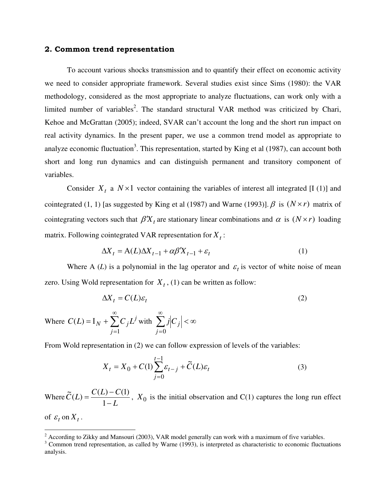#### **2. Common trend representation**

To account various shocks transmission and to quantify their effect on economic activity we need to consider appropriate framework. Several studies exist since Sims (1980): the VAR methodology, considered as the most appropriate to analyze fluctuations, can work only with a limited number of variables<sup>2</sup>. The standard structural VAR method was criticized by Chari, Kehoe and McGrattan (2005); indeed, SVAR can't account the long and the short run impact on real activity dynamics. In the present paper, we use a common trend model as appropriate to analyze economic fluctuation<sup>3</sup>. This representation, started by King et al  $(1987)$ , can account both short and long run dynamics and can distinguish permanent and transitory component of variables.

Consider  $X_t$  a  $N \times 1$  vector containing the variables of interest all integrated [I (1)] and cointegrated (1, 1) [as suggested by King et al (1987) and Warne (1993)].  $\beta$  is  $(N \times r)$  matrix of cointegrating vectors such that  $\beta' X_t$  are stationary linear combinations and  $\alpha$  is  $(N \times r)$  loading matrix. Following cointegrated VAR representation for  $X_t$ :

$$
\Delta X_t = A(L)\Delta X_{t-1} + \alpha \beta' X_{t-1} + \varepsilon_t \tag{1}
$$

Where A (*L*) is a polynomial in the lag operator and  $\varepsilon_t$  is vector of white noise of mean zero. Using Wold representation for  $X_t$ , (1) can be written as follow:

$$
\Delta X_t = C(L)\varepsilon_t \tag{2}
$$

Where  $C(L) = I_N + \sum_{i} C_i L^j$  with *j*  $C(L) = I_N + \sum C_j L$ ∞ =  $=$   $I_N$  + 1  $(L) = I_N + \sum C_j L^j$  with  $\sum j |C_j| < \infty$ ∞ *j*=0  $j | C_j$ 

From Wold representation in (2) we can follow expression of levels of the variables:

$$
X_t = X_0 + C(1) \sum_{j=0}^{t-1} \varepsilon_{t-j} + \tilde{C}(L)\varepsilon_t
$$
\n(3)

Where *L*  $C(L) - C$  $C(L)$ − − = 1  $(L) - C(1)$  $\widetilde{C}(L) = \frac{C(L) - C(1)}{1 - L}$ ,  $X_0$  is the initial observation and C(1) captures the long run effect

of  $\varepsilon_t$  on  $X_t$ .

<sup>&</sup>lt;sup>2</sup> According to Zikky and Mansouri (2003), VAR model generally can work with a maximum of five variables.<br><sup>3</sup> Common trend representation, as called by Warne (1993), is interpreted as characteristic to economic fluctuati analysis.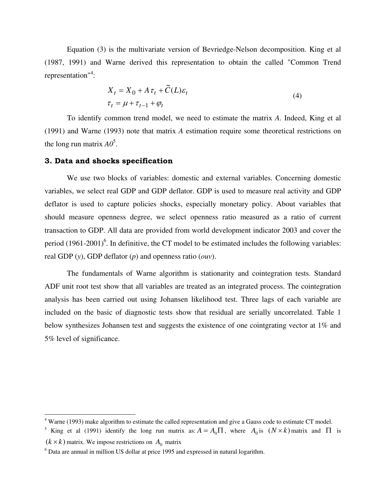Equation (3) is the multivariate version of Bevriedge-Nelson decomposition. King et al (1987, 1991) and Warne derived this representation to obtain the called "Common Trend representation"<sup>4</sup>:

$$
X_{t} = X_{0} + A\tau_{t} + \tilde{C}(L)\varepsilon_{t}
$$
  
\n
$$
\tau_{t} = \mu + \tau_{t-1} + \varphi_{t}
$$
\n(4)

To identify common trend model, we need to estimate the matrix *A*. Indeed, King et al (1991) and Warne (1993) note that matrix *A* estimation require some theoretical restrictions on the long run matrix  $AO^5$ .

#### **3. Data and shocks specification**

 We use two blocks of variables: domestic and external variables. Concerning domestic variables, we select real GDP and GDP deflator. GDP is used to measure real activity and GDP deflator is used to capture policies shocks, especially monetary policy. About variables that should measure openness degree, we select openness ratio measured as a ratio of current transaction to GDP. All data are provided from world development indicator 2003 and cover the period  $(1961-2001)^6$ . In definitive, the CT model to be estimated includes the following variables: real GDP (*y*), GDP deflator (*p*) and openness ratio (*ouv*).

 The fundamentals of Warne algorithm is stationarity and cointegration tests. Standard ADF unit root test show that all variables are treated as an integrated process. The cointegration analysis has been carried out using Johansen likelihood test. Three lags of each variable are included on the basic of diagnostic tests show that residual are serially uncorrelated. Table 1 below synthesizes Johansen test and suggests the existence of one cointgrating vector at 1% and 5% level of significance.

 4 Warne (1993) make algorithm to estimate the called representation and give a Gauss code to estimate CT model.

<sup>&</sup>lt;sup>5</sup> King et al (1991) identify the long run matrix as:  $A = A_0 \Pi$ , where  $A_0$  is  $(N \times k)$  matrix and  $\Pi$  is

 $(k \times k)$  matrix. We impose restrictions on  $A_0$  matrix

<sup>&</sup>lt;sup>6</sup> Data are annual in million US dollar at price 1995 and expressed in natural logarithm.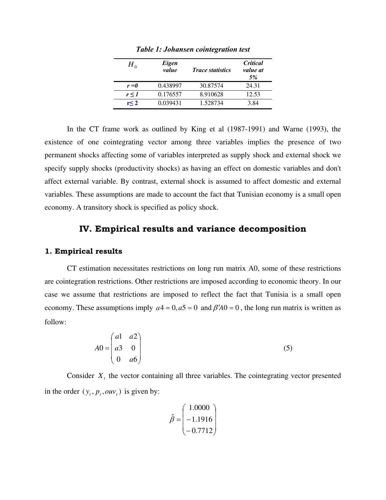| $H_{\scriptscriptstyle{0}}$ | Eigen<br>value | <i>Trace statistics</i> | <i><b>Critical</b></i><br>value at<br>5% |
|-----------------------------|----------------|-------------------------|------------------------------------------|
| $r = 0$                     | 0.438997       | 30.87574                | 24.31                                    |
| r < 1                       | 0.176557       | 8.910628                | 12.53                                    |
| r <sub>2</sub>              | 0.039431       | 1.528734                | 3.84                                     |

*Table 1: Johansen cointegration test* 

In the CT frame work as outlined by King et al (1987-1991) and Warne (1993), the existence of one cointegrating vector among three variables implies the presence of two permanent shocks affecting some of variables interpreted as supply shock and external shock we specify supply shocks (productivity shocks) as having an effect on domestic variables and don't affect external variable. By contrast, external shock is assumed to affect domestic and external variables. These assumptions are made to account the fact that Tunisian economy is a small open economy. A transitory shock is specified as policy shock.

## **IV. Empirical results and variance decomposition**

#### **1. Empirical results**

 CT estimation necessitates restrictions on long run matrix A0, some of these restrictions are cointegration restrictions. Other restrictions are imposed according to economic theory. In our case we assume that restrictions are imposed to reflect the fact that Tunisia is a small open economy. These assumptions imply  $a^4 = 0$ ,  $a^5 = 0$  and  $\beta' A 0 = 0$ , the long run matrix is written as follow:

$$
AO = \begin{pmatrix} a1 & a2 \\ a3 & 0 \\ 0 & a6 \end{pmatrix}
$$
 (5)

Consider  $X_t$ , the vector containing all three variables. The cointegrating vector presented in the order  $(y_t, p_t, \omega v_t)$  is given by:

$$
\hat{\beta} = \begin{pmatrix} 1.0000 \\ -1.1916 \\ -0.7712 \end{pmatrix}
$$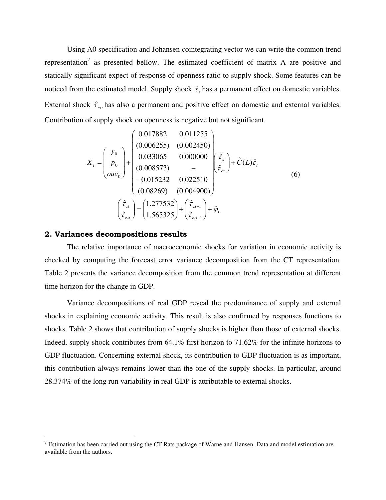Using A0 specification and Johansen cointegrating vector we can write the common trend representation<sup>7</sup> as presented bellow. The estimated coefficient of matrix A are positive and statically significant expect of response of openness ratio to supply shock. Some features can be noticed from the estimated model. Supply shock  $\hat{\tau}_s$  has a permanent effect on domestic variables. External shock  $\hat{\tau}_{\text{ext}}$  has also a permanent and positive effect on domestic and external variables. Contribution of supply shock on openness is negative but not significant.

$$
X_{t} = \begin{pmatrix} y_{0} \\ p_{0} \\ \frac{\partial w_{0}}{\partial x} \end{pmatrix} + \begin{pmatrix} 0.017882 & 0.011255 \\ (0.006255) & (0.002450) \\ 0.033065 & 0.000000 \\ (0.008573) & - \\ -0.015232 & 0.022510 \\ (0.08269) & (0.004900) \end{pmatrix} \begin{pmatrix} \hat{\tau}_{s} \\ \hat{\tau}_{ex} \end{pmatrix} + \tilde{C}(L)\hat{\epsilon}_{t}
$$
\n
$$
\begin{pmatrix} \hat{\tau}_{st} \\ \hat{\tau}_{est} \end{pmatrix} = \begin{pmatrix} 1.277532 \\ 1.565325 \end{pmatrix} + \begin{pmatrix} \hat{\tau}_{st-1} \\ \hat{\tau}_{ext} \end{pmatrix} + \hat{\varphi}_{t}
$$
\n(6)

#### **2. Variances decompositions results**

 $\overline{a}$ 

 The relative importance of macroeconomic shocks for variation in economic activity is checked by computing the forecast error variance decomposition from the CT representation. Table 2 presents the variance decomposition from the common trend representation at different time horizon for the change in GDP.

 Variance decompositions of real GDP reveal the predominance of supply and external shocks in explaining economic activity. This result is also confirmed by responses functions to shocks. Table 2 shows that contribution of supply shocks is higher than those of external shocks. Indeed, supply shock contributes from 64.1% first horizon to 71.62% for the infinite horizons to GDP fluctuation. Concerning external shock, its contribution to GDP fluctuation is as important, this contribution always remains lower than the one of the supply shocks. In particular, around 28.374% of the long run variability in real GDP is attributable to external shocks.

<sup>&</sup>lt;sup>7</sup> Estimation has been carried out using the CT Rats package of Warne and Hansen. Data and model estimation are available from the authors.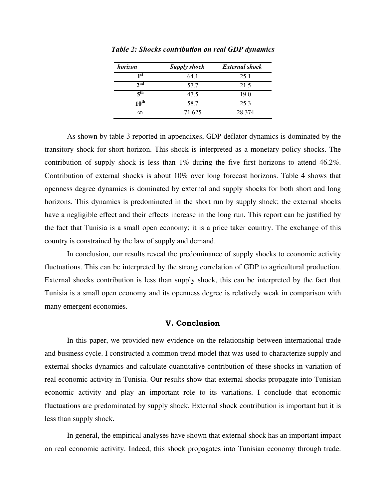| horizon                            | <b>Supply shock</b> | <b>External shock</b> |
|------------------------------------|---------------------|-----------------------|
| 1 <sup>st</sup>                    | 64.1                | 25.1                  |
| 2 <sub>nd</sub>                    | 57.7                | 21.5                  |
| $\boldsymbol{\varsigma}^\text{th}$ | 47.5                | 19.0                  |
| $10^{\text{th}}$                   | 58.7                | 25.3                  |
| ∞                                  | 71.625              | 28.374                |

*Table 2: Shocks contribution on real GDP dynamics* 

 As shown by table 3 reported in appendixes, GDP deflator dynamics is dominated by the transitory shock for short horizon. This shock is interpreted as a monetary policy shocks. The contribution of supply shock is less than  $1\%$  during the five first horizons to attend 46.2%. Contribution of external shocks is about 10% over long forecast horizons. Table 4 shows that openness degree dynamics is dominated by external and supply shocks for both short and long horizons. This dynamics is predominated in the short run by supply shock; the external shocks have a negligible effect and their effects increase in the long run. This report can be justified by the fact that Tunisia is a small open economy; it is a price taker country. The exchange of this country is constrained by the law of supply and demand.

In conclusion, our results reveal the predominance of supply shocks to economic activity fluctuations. This can be interpreted by the strong correlation of GDP to agricultural production. External shocks contribution is less than supply shock, this can be interpreted by the fact that Tunisia is a small open economy and its openness degree is relatively weak in comparison with many emergent economies.

#### **V. Conclusion**

 In this paper, we provided new evidence on the relationship between international trade and business cycle. I constructed a common trend model that was used to characterize supply and external shocks dynamics and calculate quantitative contribution of these shocks in variation of real economic activity in Tunisia. Our results show that external shocks propagate into Tunisian economic activity and play an important role to its variations. I conclude that economic fluctuations are predominated by supply shock. External shock contribution is important but it is less than supply shock.

 In general, the empirical analyses have shown that external shock has an important impact on real economic activity. Indeed, this shock propagates into Tunisian economy through trade.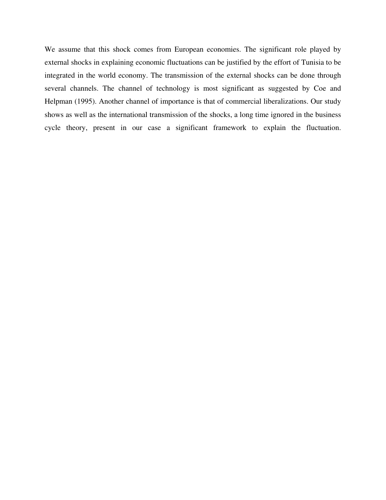We assume that this shock comes from European economies. The significant role played by external shocks in explaining economic fluctuations can be justified by the effort of Tunisia to be integrated in the world economy. The transmission of the external shocks can be done through several channels. The channel of technology is most significant as suggested by Coe and Helpman (1995). Another channel of importance is that of commercial liberalizations. Our study shows as well as the international transmission of the shocks, a long time ignored in the business cycle theory, present in our case a significant framework to explain the fluctuation.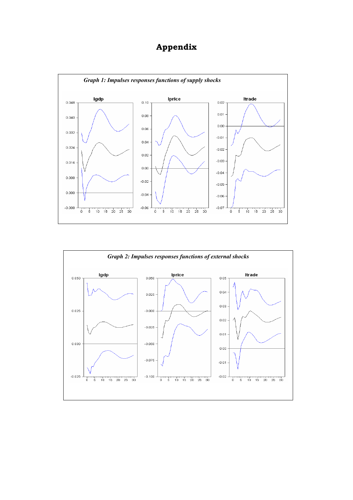# **Appendix**



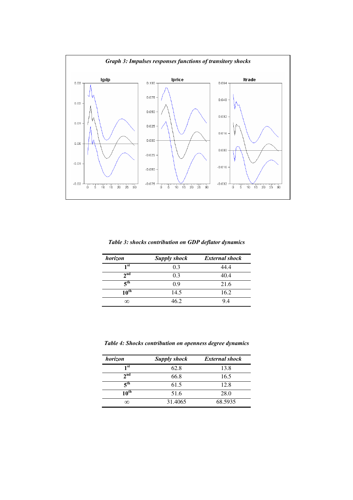

*Table 3: shocks contribution on GDP deflator dynamics* 

| horizon                              | <b>Supply shock</b> | <b>External shock</b> |
|--------------------------------------|---------------------|-----------------------|
| 1 <sup>st</sup>                      | 0.3                 | 44.4                  |
| 2 <sub>nd</sub>                      | 0.3                 | 40.4                  |
| $\boldsymbol{\varsigma}^{\text{th}}$ | 0.9                 | 21.6                  |
| $10^{\text{th}}$                     | 14.5                | 16.2                  |
| ∞                                    | 46.2                | 94                    |

*Table 4: Shocks contribution on openness degree dynamics* 

| horizon                    | <b>Supply shock</b> | <b>External shock</b> |
|----------------------------|---------------------|-----------------------|
| 1st                        | 62.8                | 13.8                  |
| $2^{\text{nd}}$            | 66.8                | 16.5                  |
| $\overline{5}^{\text{th}}$ | 61.5                | 12.8                  |
| $10^{\text{th}}$           | 51.6                | 28.0                  |
| ∞                          | 31.4065             | 68.5935               |